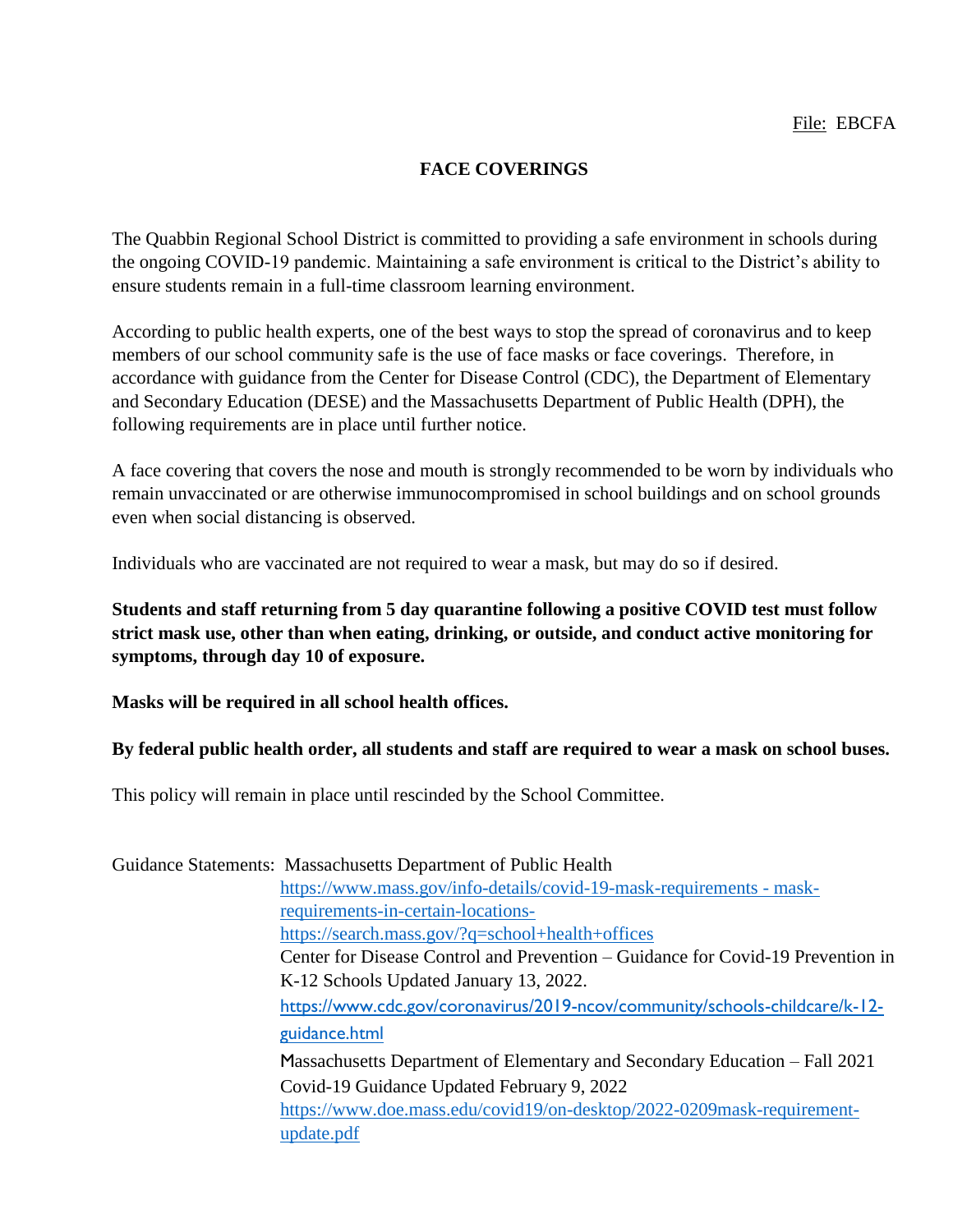## **FACE COVERINGS**

The Quabbin Regional School District is committed to providing a safe environment in schools during the ongoing COVID-19 pandemic. Maintaining a safe environment is critical to the District's ability to ensure students remain in a full-time classroom learning environment.

According to public health experts, one of the best ways to stop the spread of coronavirus and to keep members of our school community safe is the use of face masks or face coverings. Therefore, in accordance with guidance from the Center for Disease Control (CDC), the Department of Elementary and Secondary Education (DESE) and the Massachusetts Department of Public Health (DPH), the following requirements are in place until further notice.

A face covering that covers the nose and mouth is strongly recommended to be worn by individuals who remain unvaccinated or are otherwise immunocompromised in school buildings and on school grounds even when social distancing is observed.

Individuals who are vaccinated are not required to wear a mask, but may do so if desired.

**Students and staff returning from 5 day quarantine following a positive COVID test must follow strict mask use, other than when eating, drinking, or outside, and conduct active monitoring for symptoms, through day 10 of exposure.**

**Masks will be required in all school health offices.** 

## **By federal public health order, all students and staff are required to wear a mask on school buses.**

This policy will remain in place until rescinded by the School Committee.

Guidance Statements: Massachusetts Department of Public Health [https://www.mass.gov/info-details/covid-19-mask-requirements -](https://www.mass.gov/info-details/covid-19-mask-requirements#mask-requirements-in-certain-locations-) mask[requirements-in-certain-locations](https://www.mass.gov/info-details/covid-19-mask-requirements#mask-requirements-in-certain-locations-)<https://search.mass.gov/?q=school+health+offices> Center for Disease Control and Prevention – Guidance for Covid-19 Prevention in K-12 Schools Updated January 13, 2022. [https://www.cdc.gov/coronavirus/2019-ncov/community/schools-childcare/k-12](https://www.cdc.gov/coronavirus/2019-ncov/community/schools-childcare/k-12-guidance.html) [guidance.html](https://www.cdc.gov/coronavirus/2019-ncov/community/schools-childcare/k-12-guidance.html) Massachusetts Department of Elementary and Secondary Education – Fall 2021 Covid-19 Guidance Updated February 9, 2022 [https://www.doe.mass.edu/covid19/on-desktop/2022-0209mask-requirement](https://www.doe.mass.edu/covid19/on-desktop/2022-0209mask-requirement-update.pdf)[update.pdf](https://www.doe.mass.edu/covid19/on-desktop/2022-0209mask-requirement-update.pdf)